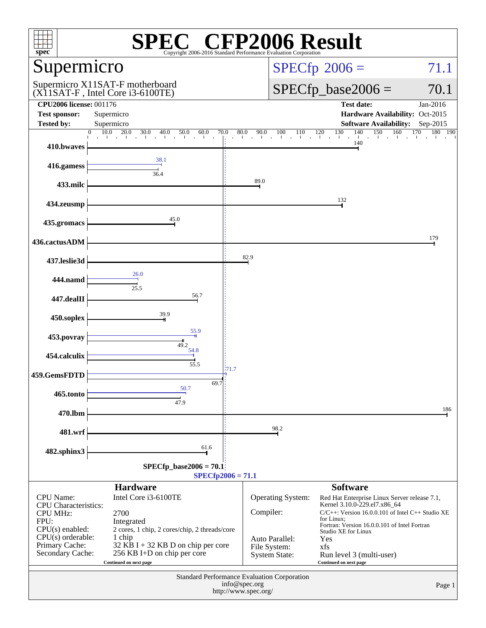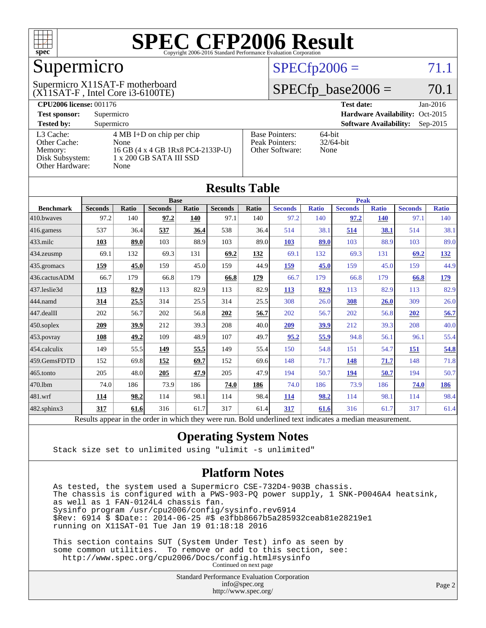

## Supermicro

#### (X11SAT-F , Intel Core i3-6100TE) Supermicro X11SAT-F motherboard

#### $SPECfp2006 = 71.1$  $SPECfp2006 = 71.1$

#### $SPECfp\_base2006 = 70.1$

| <b>CPU2006 license: 001176</b> |                                     |                                 | <b>Test date:</b><br>$Jan-2016$             |
|--------------------------------|-------------------------------------|---------------------------------|---------------------------------------------|
| <b>Test sponsor:</b>           | Supermicro                          | Hardware Availability: Oct-2015 |                                             |
| <b>Tested by:</b>              | Supermicro                          |                                 | <b>Software Availability:</b><br>$Sep-2015$ |
| L3 Cache:                      | $4 \text{ MB I+D}$ on chip per chip | <b>Base Pointers:</b>           | $64$ -bit                                   |
| Other Cache:                   | None                                | Peak Pointers:                  | $32/64$ -bit                                |
| Memory:                        | 16 GB (4 x 4 GB 1Rx8 PC4-2133P-U)   | Other Software:                 | None                                        |
| Disk Subsystem:                | $1 \times 200$ GB SATA III SSD      |                                 |                                             |
| <b>Other Hardware:</b>         | None                                |                                 |                                             |

**[Results Table](http://www.spec.org/auto/cpu2006/Docs/result-fields.html#ResultsTable)**

| Results Tadie    |                                                                                                          |       |                |       |                |             |                |              |                |              |                |              |
|------------------|----------------------------------------------------------------------------------------------------------|-------|----------------|-------|----------------|-------------|----------------|--------------|----------------|--------------|----------------|--------------|
|                  | <b>Base</b>                                                                                              |       |                |       |                | <b>Peak</b> |                |              |                |              |                |              |
| <b>Benchmark</b> | <b>Seconds</b>                                                                                           | Ratio | <b>Seconds</b> | Ratio | <b>Seconds</b> | Ratio       | <b>Seconds</b> | <b>Ratio</b> | <b>Seconds</b> | <b>Ratio</b> | <b>Seconds</b> | <b>Ratio</b> |
| 410.bwayes       | 97.2                                                                                                     | 140   | 97.2           | 140   | 97.1           | 140         | 97.2           | 140          | 97.2           | <b>140</b>   | 97.1           | 140          |
| 416.gamess       | 537                                                                                                      | 36.4  | 537            | 36.4  | 538            | 36.4        | 514            | 38.1         | 514            | 38.1         | 514            | 38.1         |
| $433$ .milc      | 103                                                                                                      | 89.0  | 103            | 88.9  | 103            | 89.0        | 103            | 89.0         | 103            | 88.9         | 103            | 89.0         |
| 434.zeusmp       | 69.1                                                                                                     | 132   | 69.3           | 131   | 69.2           | 132         | 69.1           | 132          | 69.3           | 131          | 69.2           | <u>132</u>   |
| 435 gromacs      | 159                                                                                                      | 45.0  | 159            | 45.0  | 159            | 44.9        | 159            | 45.0         | 159            | 45.0         | 159            | 44.9         |
| 436.cactusADM    | 66.7                                                                                                     | 179   | 66.8           | 179   | 66.8           | 179         | 66.7           | 179          | 66.8           | 179          | 66.8           | <u>179</u>   |
| 437.leslie3d     | 113                                                                                                      | 82.9  | 113            | 82.9  | 113            | 82.9        | <b>113</b>     | 82.9         | 113            | 82.9         | 113            | 82.9         |
| 444.namd         | 314                                                                                                      | 25.5  | 314            | 25.5  | 314            | 25.5        | 308            | 26.0         | 308            | 26.0         | 309            | 26.0         |
| 447.dealII       | 202                                                                                                      | 56.7  | 202            | 56.8  | 202            | 56.7        | 202            | 56.7         | 202            | 56.8         | 202            | 56.7         |
| $450$ .soplex    | 209                                                                                                      | 39.9  | 212            | 39.3  | 208            | 40.0        | 209            | 39.9         | 212            | 39.3         | 208            | 40.0         |
| $453$ . povray   | 108                                                                                                      | 49.2  | 109            | 48.9  | 107            | 49.7        | 95.2           | 55.9         | 94.8           | 56.1         | 96.1           | 55.4         |
| 454.calculix     | 149                                                                                                      | 55.5  | 149            | 55.5  | 149            | 55.4        | 150            | 54.8         | 151            | 54.7         | <u>151</u>     | 54.8         |
| 459.GemsFDTD     | 152                                                                                                      | 69.8  | <u>152</u>     | 69.7  | 152            | 69.6        | 148            | 71.7         | 148            | 71.7         | 148            | 71.8         |
| $465$ .tonto     | 205                                                                                                      | 48.0  | 205            | 47.9  | 205            | 47.9        | 194            | 50.7         | 194            | 50.7         | 194            | 50.7         |
| 470.1bm          | 74.0                                                                                                     | 186   | 73.9           | 186   | 74.0           | 186         | 74.0           | 186          | 73.9           | 186          | 74.0           | 186          |
| 481.wrf          | 114                                                                                                      | 98.2  | 114            | 98.1  | 114            | 98.4        | 114            | 98.2         | 114            | 98.1         | 114            | 98.4         |
| 482.sphinx3      | 317                                                                                                      | 61.6  | 316            | 61.7  | 317            | 61.4        | 317            | 61.6         | 316            | 61.7         | 317            | 61.4         |
|                  | Results appear in the order in which they were run. Bold underlined text indicates a median measurement. |       |                |       |                |             |                |              |                |              |                |              |

#### **[Operating System Notes](http://www.spec.org/auto/cpu2006/Docs/result-fields.html#OperatingSystemNotes)**

Stack size set to unlimited using "ulimit -s unlimited"

#### **[Platform Notes](http://www.spec.org/auto/cpu2006/Docs/result-fields.html#PlatformNotes)**

 As tested, the system used a Supermicro CSE-732D4-903B chassis. The chassis is configured with a PWS-903-PQ power supply, 1 SNK-P0046A4 heatsink, as well as 1 FAN-0124L4 chassis fan. Sysinfo program /usr/cpu2006/config/sysinfo.rev6914 \$Rev: 6914 \$ \$Date:: 2014-06-25 #\$ e3fbb8667b5a285932ceab81e28219e1 running on X11SAT-01 Tue Jan 19 01:18:18 2016

 This section contains SUT (System Under Test) info as seen by some common utilities. To remove or add to this section, see: <http://www.spec.org/cpu2006/Docs/config.html#sysinfo> Continued on next page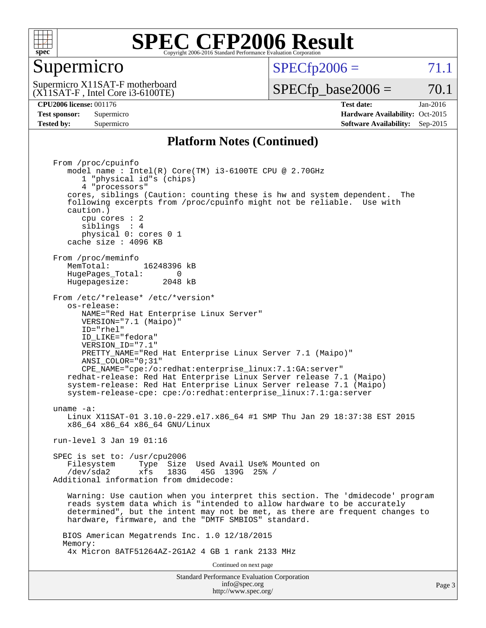

#### Supermicro

 $SPECTp2006 = 71.1$ 

(X11SAT-F , Intel Core i3-6100TE) Supermicro X11SAT-F motherboard  $SPECfp\_base2006 = 70.1$ 

**[CPU2006 license:](http://www.spec.org/auto/cpu2006/Docs/result-fields.html#CPU2006license)** 001176 **[Test date:](http://www.spec.org/auto/cpu2006/Docs/result-fields.html#Testdate)** Jan-2016 **[Test sponsor:](http://www.spec.org/auto/cpu2006/Docs/result-fields.html#Testsponsor)** Supermicro Supermicro **[Hardware Availability:](http://www.spec.org/auto/cpu2006/Docs/result-fields.html#HardwareAvailability)** Oct-2015 **[Tested by:](http://www.spec.org/auto/cpu2006/Docs/result-fields.html#Testedby)** Supermicro **Supermicro [Software Availability:](http://www.spec.org/auto/cpu2006/Docs/result-fields.html#SoftwareAvailability)** Sep-2015

#### **[Platform Notes \(Continued\)](http://www.spec.org/auto/cpu2006/Docs/result-fields.html#PlatformNotes)**

Standard Performance Evaluation Corporation From /proc/cpuinfo model name :  $Intel(R) Core(TM) i3-6100TE CPU @ 2.70GHz$  1 "physical id"s (chips) 4 "processors" cores, siblings (Caution: counting these is hw and system dependent. The following excerpts from /proc/cpuinfo might not be reliable. Use with caution.) cpu cores : 2 siblings : 4 physical 0: cores 0 1 cache size : 4096 KB From /proc/meminfo MemTotal: 16248396 kB HugePages\_Total: 0<br>Hugepagesize: 2048 kB Hugepagesize: From /etc/\*release\* /etc/\*version\* os-release: NAME="Red Hat Enterprise Linux Server" VERSION="7.1 (Maipo)" ID="rhel" ID\_LIKE="fedora" VERSION\_ID="7.1" PRETTY\_NAME="Red Hat Enterprise Linux Server 7.1 (Maipo)" ANSI\_COLOR="0;31" CPE\_NAME="cpe:/o:redhat:enterprise\_linux:7.1:GA:server" redhat-release: Red Hat Enterprise Linux Server release 7.1 (Maipo) system-release: Red Hat Enterprise Linux Server release 7.1 (Maipo) system-release-cpe: cpe:/o:redhat:enterprise\_linux:7.1:ga:server uname -a: Linux X11SAT-01 3.10.0-229.el7.x86\_64 #1 SMP Thu Jan 29 18:37:38 EST 2015 x86\_64 x86\_64 x86\_64 GNU/Linux run-level 3 Jan 19 01:16 SPEC is set to: /usr/cpu2006 Filesystem Type Size Used Avail Use% Mounted on<br>(dec/ada) = refer 1990 450 1990 95% / /dev/sda2 xfs 183G 45G 139G 25% / Additional information from dmidecode: Warning: Use caution when you interpret this section. The 'dmidecode' program reads system data which is "intended to allow hardware to be accurately determined", but the intent may not be met, as there are frequent changes to hardware, firmware, and the "DMTF SMBIOS" standard. BIOS American Megatrends Inc. 1.0 12/18/2015 Memory: 4x Micron 8ATF51264AZ-2G1A2 4 GB 1 rank 2133 MHz Continued on next page

[info@spec.org](mailto:info@spec.org) <http://www.spec.org/>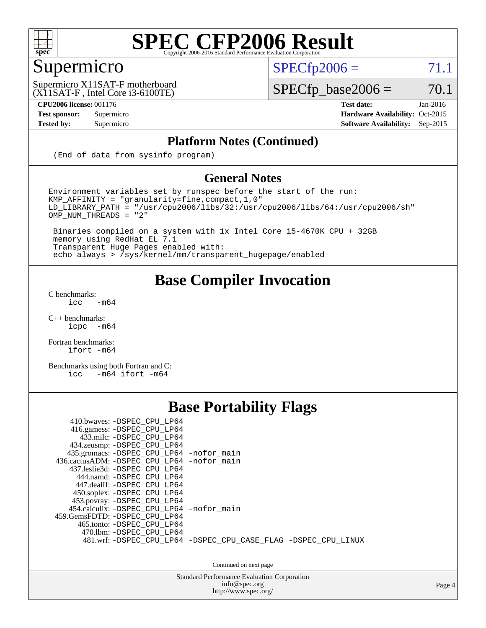

### Supermicro

 $SPECTp2006 = 71.1$ 

(X11SAT-F , Intel Core i3-6100TE) Supermicro X11SAT-F motherboard

**[CPU2006 license:](http://www.spec.org/auto/cpu2006/Docs/result-fields.html#CPU2006license)** 001176 **[Test date:](http://www.spec.org/auto/cpu2006/Docs/result-fields.html#Testdate)** Jan-2016

 $SPECfp\_base2006 = 70.1$ 

**[Test sponsor:](http://www.spec.org/auto/cpu2006/Docs/result-fields.html#Testsponsor)** Supermicro Supermicro **[Hardware Availability:](http://www.spec.org/auto/cpu2006/Docs/result-fields.html#HardwareAvailability)** Oct-2015 **[Tested by:](http://www.spec.org/auto/cpu2006/Docs/result-fields.html#Testedby)** Supermicro **[Software Availability:](http://www.spec.org/auto/cpu2006/Docs/result-fields.html#SoftwareAvailability)** Sep-2015

#### **[Platform Notes \(Continued\)](http://www.spec.org/auto/cpu2006/Docs/result-fields.html#PlatformNotes)**

(End of data from sysinfo program)

#### **[General Notes](http://www.spec.org/auto/cpu2006/Docs/result-fields.html#GeneralNotes)**

Environment variables set by runspec before the start of the run: KMP\_AFFINITY = "granularity=fine,compact,1,0"  $LD$ \_LIBRARY\_PATH = "/usr/cpu2006/libs/32:/usr/cpu2006/libs/64:/usr/cpu2006/sh" OMP\_NUM\_THREADS = "2"

 Binaries compiled on a system with 1x Intel Core i5-4670K CPU + 32GB memory using RedHat EL 7.1 Transparent Huge Pages enabled with: echo always > /sys/kernel/mm/transparent\_hugepage/enabled

#### **[Base Compiler Invocation](http://www.spec.org/auto/cpu2006/Docs/result-fields.html#BaseCompilerInvocation)**

[C benchmarks](http://www.spec.org/auto/cpu2006/Docs/result-fields.html#Cbenchmarks):  $\text{icc}$  -m64

 $C++$  benchmarks:<br>icpc  $-m$ -m64

[Fortran benchmarks](http://www.spec.org/auto/cpu2006/Docs/result-fields.html#Fortranbenchmarks): [ifort -m64](http://www.spec.org/cpu2006/results/res2016q1/cpu2006-20160120-38715.flags.html#user_FCbase_intel_ifort_64bit_ee9d0fb25645d0210d97eb0527dcc06e)

[Benchmarks using both Fortran and C](http://www.spec.org/auto/cpu2006/Docs/result-fields.html#BenchmarksusingbothFortranandC): [icc -m64](http://www.spec.org/cpu2006/results/res2016q1/cpu2006-20160120-38715.flags.html#user_CC_FCbase_intel_icc_64bit_0b7121f5ab7cfabee23d88897260401c) [ifort -m64](http://www.spec.org/cpu2006/results/res2016q1/cpu2006-20160120-38715.flags.html#user_CC_FCbase_intel_ifort_64bit_ee9d0fb25645d0210d97eb0527dcc06e)

#### **[Base Portability Flags](http://www.spec.org/auto/cpu2006/Docs/result-fields.html#BasePortabilityFlags)**

| 410.bwaves: -DSPEC CPU LP64<br>416.gamess: -DSPEC_CPU_LP64<br>433.milc: -DSPEC CPU LP64<br>434.zeusmp: - DSPEC_CPU_LP64<br>435.gromacs: -DSPEC_CPU_LP64 -nofor_main<br>436.cactusADM: -DSPEC CPU LP64 -nofor main<br>437.leslie3d: -DSPEC CPU LP64<br>444.namd: -DSPEC CPU LP64<br>447.dealII: -DSPEC CPU LP64 |                                                                |
|----------------------------------------------------------------------------------------------------------------------------------------------------------------------------------------------------------------------------------------------------------------------------------------------------------------|----------------------------------------------------------------|
| 450.soplex: -DSPEC_CPU_LP64<br>453.povray: -DSPEC_CPU_LP64<br>454.calculix: - DSPEC CPU LP64 - nofor main<br>459. GemsFDTD: - DSPEC CPU LP64<br>465.tonto: -DSPEC CPU LP64<br>470.1bm: - DSPEC CPU LP64                                                                                                        | 481.wrf: -DSPEC CPU_LP64 -DSPEC_CPU_CASE_FLAG -DSPEC_CPU_LINUX |

Continued on next page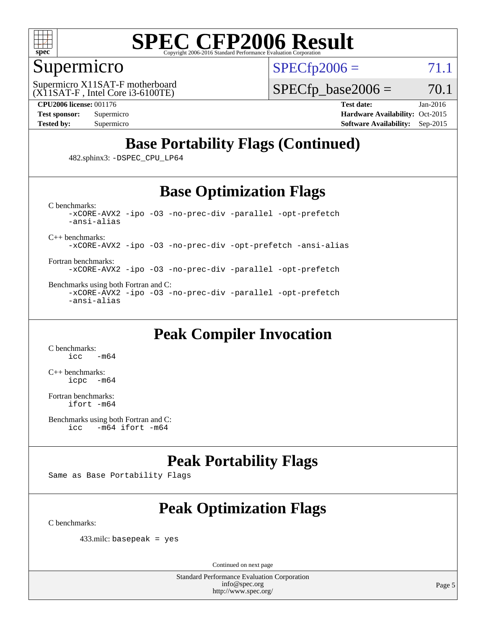

#### Supermicro

 $SPECTp2006 = 71.1$ 

(X11SAT-F , Intel Core i3-6100TE) Supermicro X11SAT-F motherboard

 $SPECTp\_base2006 = 70.1$ 

**[CPU2006 license:](http://www.spec.org/auto/cpu2006/Docs/result-fields.html#CPU2006license)** 001176 **[Test date:](http://www.spec.org/auto/cpu2006/Docs/result-fields.html#Testdate)** Jan-2016 **[Test sponsor:](http://www.spec.org/auto/cpu2006/Docs/result-fields.html#Testsponsor)** Supermicro Supermicro **[Hardware Availability:](http://www.spec.org/auto/cpu2006/Docs/result-fields.html#HardwareAvailability)** Oct-2015 **[Tested by:](http://www.spec.org/auto/cpu2006/Docs/result-fields.html#Testedby)** Supermicro **Supermicro [Software Availability:](http://www.spec.org/auto/cpu2006/Docs/result-fields.html#SoftwareAvailability)** Sep-2015

### **[Base Portability Flags \(Continued\)](http://www.spec.org/auto/cpu2006/Docs/result-fields.html#BasePortabilityFlags)**

482.sphinx3: [-DSPEC\\_CPU\\_LP64](http://www.spec.org/cpu2006/results/res2016q1/cpu2006-20160120-38715.flags.html#suite_basePORTABILITY482_sphinx3_DSPEC_CPU_LP64)

#### **[Base Optimization Flags](http://www.spec.org/auto/cpu2006/Docs/result-fields.html#BaseOptimizationFlags)**

[C benchmarks](http://www.spec.org/auto/cpu2006/Docs/result-fields.html#Cbenchmarks): [-xCORE-AVX2](http://www.spec.org/cpu2006/results/res2016q1/cpu2006-20160120-38715.flags.html#user_CCbase_f-xAVX2_5f5fc0cbe2c9f62c816d3e45806c70d7) [-ipo](http://www.spec.org/cpu2006/results/res2016q1/cpu2006-20160120-38715.flags.html#user_CCbase_f-ipo) [-O3](http://www.spec.org/cpu2006/results/res2016q1/cpu2006-20160120-38715.flags.html#user_CCbase_f-O3) [-no-prec-div](http://www.spec.org/cpu2006/results/res2016q1/cpu2006-20160120-38715.flags.html#user_CCbase_f-no-prec-div) [-parallel](http://www.spec.org/cpu2006/results/res2016q1/cpu2006-20160120-38715.flags.html#user_CCbase_f-parallel) [-opt-prefetch](http://www.spec.org/cpu2006/results/res2016q1/cpu2006-20160120-38715.flags.html#user_CCbase_f-opt-prefetch) [-ansi-alias](http://www.spec.org/cpu2006/results/res2016q1/cpu2006-20160120-38715.flags.html#user_CCbase_f-ansi-alias)

[C++ benchmarks:](http://www.spec.org/auto/cpu2006/Docs/result-fields.html#CXXbenchmarks)

[-xCORE-AVX2](http://www.spec.org/cpu2006/results/res2016q1/cpu2006-20160120-38715.flags.html#user_CXXbase_f-xAVX2_5f5fc0cbe2c9f62c816d3e45806c70d7) [-ipo](http://www.spec.org/cpu2006/results/res2016q1/cpu2006-20160120-38715.flags.html#user_CXXbase_f-ipo) [-O3](http://www.spec.org/cpu2006/results/res2016q1/cpu2006-20160120-38715.flags.html#user_CXXbase_f-O3) [-no-prec-div](http://www.spec.org/cpu2006/results/res2016q1/cpu2006-20160120-38715.flags.html#user_CXXbase_f-no-prec-div) [-opt-prefetch](http://www.spec.org/cpu2006/results/res2016q1/cpu2006-20160120-38715.flags.html#user_CXXbase_f-opt-prefetch) [-ansi-alias](http://www.spec.org/cpu2006/results/res2016q1/cpu2006-20160120-38715.flags.html#user_CXXbase_f-ansi-alias)

[Fortran benchmarks](http://www.spec.org/auto/cpu2006/Docs/result-fields.html#Fortranbenchmarks): [-xCORE-AVX2](http://www.spec.org/cpu2006/results/res2016q1/cpu2006-20160120-38715.flags.html#user_FCbase_f-xAVX2_5f5fc0cbe2c9f62c816d3e45806c70d7) [-ipo](http://www.spec.org/cpu2006/results/res2016q1/cpu2006-20160120-38715.flags.html#user_FCbase_f-ipo) [-O3](http://www.spec.org/cpu2006/results/res2016q1/cpu2006-20160120-38715.flags.html#user_FCbase_f-O3) [-no-prec-div](http://www.spec.org/cpu2006/results/res2016q1/cpu2006-20160120-38715.flags.html#user_FCbase_f-no-prec-div) [-parallel](http://www.spec.org/cpu2006/results/res2016q1/cpu2006-20160120-38715.flags.html#user_FCbase_f-parallel) [-opt-prefetch](http://www.spec.org/cpu2006/results/res2016q1/cpu2006-20160120-38715.flags.html#user_FCbase_f-opt-prefetch)

[Benchmarks using both Fortran and C](http://www.spec.org/auto/cpu2006/Docs/result-fields.html#BenchmarksusingbothFortranandC): [-xCORE-AVX2](http://www.spec.org/cpu2006/results/res2016q1/cpu2006-20160120-38715.flags.html#user_CC_FCbase_f-xAVX2_5f5fc0cbe2c9f62c816d3e45806c70d7) [-ipo](http://www.spec.org/cpu2006/results/res2016q1/cpu2006-20160120-38715.flags.html#user_CC_FCbase_f-ipo) [-O3](http://www.spec.org/cpu2006/results/res2016q1/cpu2006-20160120-38715.flags.html#user_CC_FCbase_f-O3) [-no-prec-div](http://www.spec.org/cpu2006/results/res2016q1/cpu2006-20160120-38715.flags.html#user_CC_FCbase_f-no-prec-div) [-parallel](http://www.spec.org/cpu2006/results/res2016q1/cpu2006-20160120-38715.flags.html#user_CC_FCbase_f-parallel) [-opt-prefetch](http://www.spec.org/cpu2006/results/res2016q1/cpu2006-20160120-38715.flags.html#user_CC_FCbase_f-opt-prefetch) [-ansi-alias](http://www.spec.org/cpu2006/results/res2016q1/cpu2006-20160120-38715.flags.html#user_CC_FCbase_f-ansi-alias)

### **[Peak Compiler Invocation](http://www.spec.org/auto/cpu2006/Docs/result-fields.html#PeakCompilerInvocation)**

[C benchmarks](http://www.spec.org/auto/cpu2006/Docs/result-fields.html#Cbenchmarks):  $-m64$ 

[C++ benchmarks:](http://www.spec.org/auto/cpu2006/Docs/result-fields.html#CXXbenchmarks) [icpc -m64](http://www.spec.org/cpu2006/results/res2016q1/cpu2006-20160120-38715.flags.html#user_CXXpeak_intel_icpc_64bit_bedb90c1146cab66620883ef4f41a67e)

[Fortran benchmarks](http://www.spec.org/auto/cpu2006/Docs/result-fields.html#Fortranbenchmarks): [ifort -m64](http://www.spec.org/cpu2006/results/res2016q1/cpu2006-20160120-38715.flags.html#user_FCpeak_intel_ifort_64bit_ee9d0fb25645d0210d97eb0527dcc06e)

#### **[Peak Portability Flags](http://www.spec.org/auto/cpu2006/Docs/result-fields.html#PeakPortabilityFlags)**

Same as Base Portability Flags

### **[Peak Optimization Flags](http://www.spec.org/auto/cpu2006/Docs/result-fields.html#PeakOptimizationFlags)**

[C benchmarks](http://www.spec.org/auto/cpu2006/Docs/result-fields.html#Cbenchmarks):

433.milc: basepeak = yes

Continued on next page

[Benchmarks using both Fortran and C](http://www.spec.org/auto/cpu2006/Docs/result-fields.html#BenchmarksusingbothFortranandC): [icc -m64](http://www.spec.org/cpu2006/results/res2016q1/cpu2006-20160120-38715.flags.html#user_CC_FCpeak_intel_icc_64bit_0b7121f5ab7cfabee23d88897260401c) [ifort -m64](http://www.spec.org/cpu2006/results/res2016q1/cpu2006-20160120-38715.flags.html#user_CC_FCpeak_intel_ifort_64bit_ee9d0fb25645d0210d97eb0527dcc06e)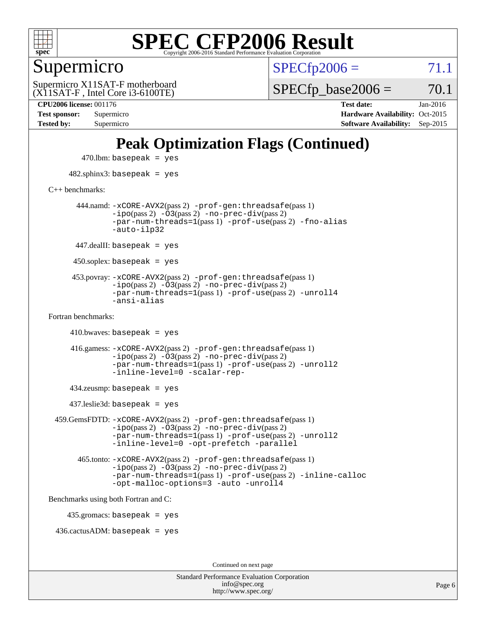

#### Supermicro

 $SPECTp2006 = 71.1$ 

(X11SAT-F , Intel Core i3-6100TE) Supermicro X11SAT-F motherboard  $SPECTp\_base2006 = 70.1$ 

**[CPU2006 license:](http://www.spec.org/auto/cpu2006/Docs/result-fields.html#CPU2006license)** 001176 **[Test date:](http://www.spec.org/auto/cpu2006/Docs/result-fields.html#Testdate)** Jan-2016 **[Test sponsor:](http://www.spec.org/auto/cpu2006/Docs/result-fields.html#Testsponsor)** Supermicro Supermicro **[Hardware Availability:](http://www.spec.org/auto/cpu2006/Docs/result-fields.html#HardwareAvailability)** Oct-2015 **[Tested by:](http://www.spec.org/auto/cpu2006/Docs/result-fields.html#Testedby)** Supermicro **[Software Availability:](http://www.spec.org/auto/cpu2006/Docs/result-fields.html#SoftwareAvailability)** Sep-2015

### **[Peak Optimization Flags \(Continued\)](http://www.spec.org/auto/cpu2006/Docs/result-fields.html#PeakOptimizationFlags)**

 $470$ .lbm: basepeak = yes 482.sphinx3: basepeak = yes [C++ benchmarks:](http://www.spec.org/auto/cpu2006/Docs/result-fields.html#CXXbenchmarks) 444.namd: [-xCORE-AVX2](http://www.spec.org/cpu2006/results/res2016q1/cpu2006-20160120-38715.flags.html#user_peakPASS2_CXXFLAGSPASS2_LDFLAGS444_namd_f-xAVX2_5f5fc0cbe2c9f62c816d3e45806c70d7)(pass 2) [-prof-gen:threadsafe](http://www.spec.org/cpu2006/results/res2016q1/cpu2006-20160120-38715.flags.html#user_peakPASS1_CXXFLAGSPASS1_LDFLAGS444_namd_prof_gen_21a26eb79f378b550acd7bec9fe4467a)(pass 1)  $-i\text{po}(pass 2) -\overline{0}3(pass 2) -no-prec-div(pass 2)$  $-i\text{po}(pass 2) -\overline{0}3(pass 2) -no-prec-div(pass 2)$  $-i\text{po}(pass 2) -\overline{0}3(pass 2) -no-prec-div(pass 2)$ [-par-num-threads=1](http://www.spec.org/cpu2006/results/res2016q1/cpu2006-20160120-38715.flags.html#user_peakPASS1_CXXFLAGSPASS1_LDFLAGS444_namd_par_num_threads_786a6ff141b4e9e90432e998842df6c2)(pass 1) [-prof-use](http://www.spec.org/cpu2006/results/res2016q1/cpu2006-20160120-38715.flags.html#user_peakPASS2_CXXFLAGSPASS2_LDFLAGS444_namd_prof_use_bccf7792157ff70d64e32fe3e1250b55)(pass 2) [-fno-alias](http://www.spec.org/cpu2006/results/res2016q1/cpu2006-20160120-38715.flags.html#user_peakCXXOPTIMIZEOPTIMIZE444_namd_f-no-alias_694e77f6c5a51e658e82ccff53a9e63a) [-auto-ilp32](http://www.spec.org/cpu2006/results/res2016q1/cpu2006-20160120-38715.flags.html#user_peakCXXOPTIMIZE444_namd_f-auto-ilp32)  $447$ .dealII: basepeak = yes 450.soplex: basepeak = yes 453.povray: [-xCORE-AVX2](http://www.spec.org/cpu2006/results/res2016q1/cpu2006-20160120-38715.flags.html#user_peakPASS2_CXXFLAGSPASS2_LDFLAGS453_povray_f-xAVX2_5f5fc0cbe2c9f62c816d3e45806c70d7)(pass 2) [-prof-gen:threadsafe](http://www.spec.org/cpu2006/results/res2016q1/cpu2006-20160120-38715.flags.html#user_peakPASS1_CXXFLAGSPASS1_LDFLAGS453_povray_prof_gen_21a26eb79f378b550acd7bec9fe4467a)(pass 1)  $-ipo(pass 2)$  $-ipo(pass 2)$   $-03(pass 2)$   $-no-prec-div(pass 2)$  $-no-prec-div(pass 2)$ [-par-num-threads=1](http://www.spec.org/cpu2006/results/res2016q1/cpu2006-20160120-38715.flags.html#user_peakPASS1_CXXFLAGSPASS1_LDFLAGS453_povray_par_num_threads_786a6ff141b4e9e90432e998842df6c2)(pass 1) [-prof-use](http://www.spec.org/cpu2006/results/res2016q1/cpu2006-20160120-38715.flags.html#user_peakPASS2_CXXFLAGSPASS2_LDFLAGS453_povray_prof_use_bccf7792157ff70d64e32fe3e1250b55)(pass 2) [-unroll4](http://www.spec.org/cpu2006/results/res2016q1/cpu2006-20160120-38715.flags.html#user_peakCXXOPTIMIZE453_povray_f-unroll_4e5e4ed65b7fd20bdcd365bec371b81f) [-ansi-alias](http://www.spec.org/cpu2006/results/res2016q1/cpu2006-20160120-38715.flags.html#user_peakCXXOPTIMIZE453_povray_f-ansi-alias) [Fortran benchmarks](http://www.spec.org/auto/cpu2006/Docs/result-fields.html#Fortranbenchmarks):  $410.bwaves: basepeak = yes$  416.gamess: [-xCORE-AVX2](http://www.spec.org/cpu2006/results/res2016q1/cpu2006-20160120-38715.flags.html#user_peakPASS2_FFLAGSPASS2_LDFLAGS416_gamess_f-xAVX2_5f5fc0cbe2c9f62c816d3e45806c70d7)(pass 2) [-prof-gen:threadsafe](http://www.spec.org/cpu2006/results/res2016q1/cpu2006-20160120-38715.flags.html#user_peakPASS1_FFLAGSPASS1_LDFLAGS416_gamess_prof_gen_21a26eb79f378b550acd7bec9fe4467a)(pass 1)  $-i\text{po}(pass 2)$   $-\tilde{O}3(pass 2)$   $-no-prec-div(pass 2)$  $-no-prec-div(pass 2)$ [-par-num-threads=1](http://www.spec.org/cpu2006/results/res2016q1/cpu2006-20160120-38715.flags.html#user_peakPASS1_FFLAGSPASS1_LDFLAGS416_gamess_par_num_threads_786a6ff141b4e9e90432e998842df6c2)(pass 1) [-prof-use](http://www.spec.org/cpu2006/results/res2016q1/cpu2006-20160120-38715.flags.html#user_peakPASS2_FFLAGSPASS2_LDFLAGS416_gamess_prof_use_bccf7792157ff70d64e32fe3e1250b55)(pass 2) [-unroll2](http://www.spec.org/cpu2006/results/res2016q1/cpu2006-20160120-38715.flags.html#user_peakOPTIMIZE416_gamess_f-unroll_784dae83bebfb236979b41d2422d7ec2) [-inline-level=0](http://www.spec.org/cpu2006/results/res2016q1/cpu2006-20160120-38715.flags.html#user_peakOPTIMIZE416_gamess_f-inline-level_318d07a09274ad25e8d15dbfaa68ba50) [-scalar-rep-](http://www.spec.org/cpu2006/results/res2016q1/cpu2006-20160120-38715.flags.html#user_peakOPTIMIZE416_gamess_f-disablescalarrep_abbcad04450fb118e4809c81d83c8a1d) 434.zeusmp: basepeak = yes 437.leslie3d: basepeak = yes 459.GemsFDTD: [-xCORE-AVX2](http://www.spec.org/cpu2006/results/res2016q1/cpu2006-20160120-38715.flags.html#user_peakPASS2_FFLAGSPASS2_LDFLAGS459_GemsFDTD_f-xAVX2_5f5fc0cbe2c9f62c816d3e45806c70d7)(pass 2) [-prof-gen:threadsafe](http://www.spec.org/cpu2006/results/res2016q1/cpu2006-20160120-38715.flags.html#user_peakPASS1_FFLAGSPASS1_LDFLAGS459_GemsFDTD_prof_gen_21a26eb79f378b550acd7bec9fe4467a)(pass 1)  $-i\text{po}(pass 2) -\overline{0}3(pass 2) -no-prec-div(pass 2)$  $-i\text{po}(pass 2) -\overline{0}3(pass 2) -no-prec-div(pass 2)$  $-i\text{po}(pass 2) -\overline{0}3(pass 2) -no-prec-div(pass 2)$ [-par-num-threads=1](http://www.spec.org/cpu2006/results/res2016q1/cpu2006-20160120-38715.flags.html#user_peakPASS1_FFLAGSPASS1_LDFLAGS459_GemsFDTD_par_num_threads_786a6ff141b4e9e90432e998842df6c2)(pass 1) [-prof-use](http://www.spec.org/cpu2006/results/res2016q1/cpu2006-20160120-38715.flags.html#user_peakPASS2_FFLAGSPASS2_LDFLAGS459_GemsFDTD_prof_use_bccf7792157ff70d64e32fe3e1250b55)(pass 2) [-unroll2](http://www.spec.org/cpu2006/results/res2016q1/cpu2006-20160120-38715.flags.html#user_peakOPTIMIZE459_GemsFDTD_f-unroll_784dae83bebfb236979b41d2422d7ec2) [-inline-level=0](http://www.spec.org/cpu2006/results/res2016q1/cpu2006-20160120-38715.flags.html#user_peakOPTIMIZE459_GemsFDTD_f-inline-level_318d07a09274ad25e8d15dbfaa68ba50) [-opt-prefetch](http://www.spec.org/cpu2006/results/res2016q1/cpu2006-20160120-38715.flags.html#user_peakOPTIMIZE459_GemsFDTD_f-opt-prefetch) [-parallel](http://www.spec.org/cpu2006/results/res2016q1/cpu2006-20160120-38715.flags.html#user_peakOPTIMIZE459_GemsFDTD_f-parallel) 465.tonto: [-xCORE-AVX2](http://www.spec.org/cpu2006/results/res2016q1/cpu2006-20160120-38715.flags.html#user_peakPASS2_FFLAGSPASS2_LDFLAGS465_tonto_f-xAVX2_5f5fc0cbe2c9f62c816d3e45806c70d7)(pass 2) [-prof-gen:threadsafe](http://www.spec.org/cpu2006/results/res2016q1/cpu2006-20160120-38715.flags.html#user_peakPASS1_FFLAGSPASS1_LDFLAGS465_tonto_prof_gen_21a26eb79f378b550acd7bec9fe4467a)(pass 1)  $-i\text{po}(pass 2) -\overline{O}3(pass 2)$  [-no-prec-div](http://www.spec.org/cpu2006/results/res2016q1/cpu2006-20160120-38715.flags.html#user_peakPASS2_FFLAGSPASS2_LDFLAGS465_tonto_f-no-prec-div)(pass 2) [-par-num-threads=1](http://www.spec.org/cpu2006/results/res2016q1/cpu2006-20160120-38715.flags.html#user_peakPASS1_FFLAGSPASS1_LDFLAGS465_tonto_par_num_threads_786a6ff141b4e9e90432e998842df6c2)(pass 1) [-prof-use](http://www.spec.org/cpu2006/results/res2016q1/cpu2006-20160120-38715.flags.html#user_peakPASS2_FFLAGSPASS2_LDFLAGS465_tonto_prof_use_bccf7792157ff70d64e32fe3e1250b55)(pass 2) [-inline-calloc](http://www.spec.org/cpu2006/results/res2016q1/cpu2006-20160120-38715.flags.html#user_peakOPTIMIZE465_tonto_f-inline-calloc) [-opt-malloc-options=3](http://www.spec.org/cpu2006/results/res2016q1/cpu2006-20160120-38715.flags.html#user_peakOPTIMIZE465_tonto_f-opt-malloc-options_13ab9b803cf986b4ee62f0a5998c2238) [-auto](http://www.spec.org/cpu2006/results/res2016q1/cpu2006-20160120-38715.flags.html#user_peakOPTIMIZE465_tonto_f-auto) [-unroll4](http://www.spec.org/cpu2006/results/res2016q1/cpu2006-20160120-38715.flags.html#user_peakOPTIMIZE465_tonto_f-unroll_4e5e4ed65b7fd20bdcd365bec371b81f) [Benchmarks using both Fortran and C](http://www.spec.org/auto/cpu2006/Docs/result-fields.html#BenchmarksusingbothFortranandC): 435.gromacs: basepeak = yes 436.cactusADM: basepeak = yes Continued on next page